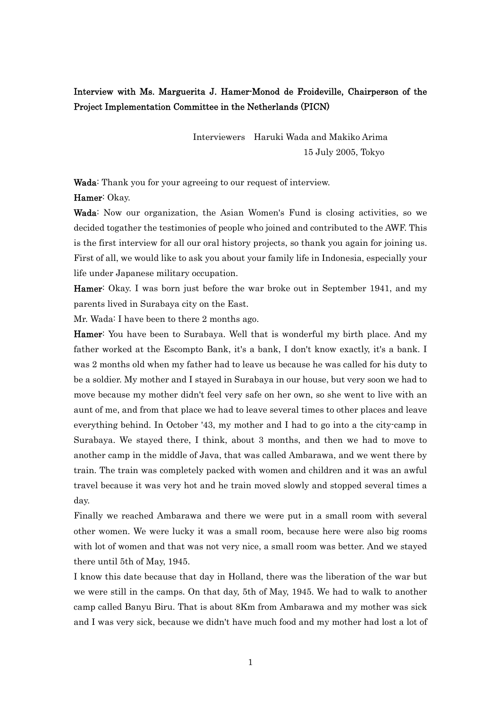# Interview with Ms. Marguerita J. Hamer-Monod de Froideville, Chairperson of the Project Implementation Committee in the Netherlands (PICN)

 Interviewers Haruki Wada and Makiko Arima 15 July 2005, Tokyo

Wada: Thank you for your agreeing to our request of interview.

Hamer: Okay.

Wada: Now our organization, the Asian Women's Fund is closing activities, so we decided togather the testimonies of people who joined and contributed to the AWF. This is the first interview for all our oral history projects, so thank you again for joining us. First of all, we would like to ask you about your family life in Indonesia, especially your life under Japanese military occupation.

Hamer: Okay. I was born just before the war broke out in September 1941, and my parents lived in Surabaya city on the East.

Mr. Wada: I have been to there 2 months ago.

Hamer: You have been to Surabaya. Well that is wonderful my birth place. And my father worked at the Escompto Bank, it's a bank, I don't know exactly, it's a bank. I was 2 months old when my father had to leave us because he was called for his duty to be a soldier. My mother and I stayed in Surabaya in our house, but very soon we had to move because my mother didn't feel very safe on her own, so she went to live with an aunt of me, and from that place we had to leave several times to other places and leave everything behind. In October '43, my mother and I had to go into a the city-camp in Surabaya. We stayed there, I think, about 3 months, and then we had to move to another camp in the middle of Java, that was called Ambarawa, and we went there by train. The train was completely packed with women and children and it was an awful travel because it was very hot and he train moved slowly and stopped several times a day.

Finally we reached Ambarawa and there we were put in a small room with several other women. We were lucky it was a small room, because here were also big rooms with lot of women and that was not very nice, a small room was better. And we stayed there until 5th of May, 1945.

I know this date because that day in Holland, there was the liberation of the war but we were still in the camps. On that day, 5th of May, 1945. We had to walk to another camp called Banyu Biru. That is about 8Km from Ambarawa and my mother was sick and I was very sick, because we didn't have much food and my mother had lost a lot of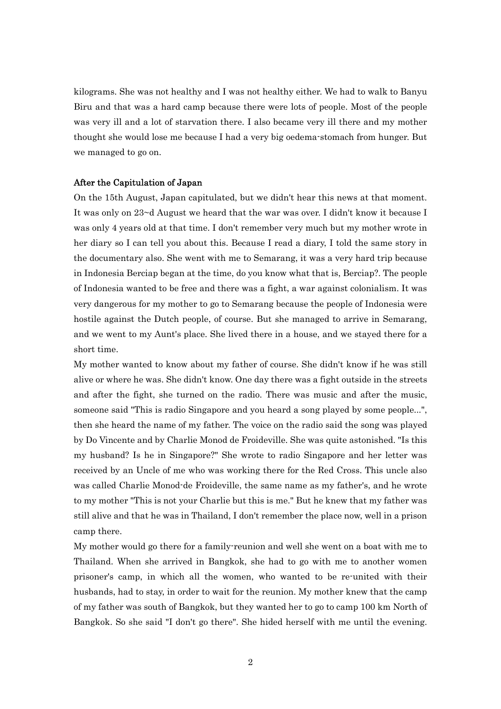kilograms. She was not healthy and I was not healthy either. We had to walk to Banyu Biru and that was a hard camp because there were lots of people. Most of the people was very ill and a lot of starvation there. I also became very ill there and my mother thought she would lose me because I had a very big oedema-stomach from hunger. But we managed to go on.

## After the Capitulation of Japan

On the 15th August, Japan capitulated, but we didn't hear this news at that moment. It was only on 23~d August we heard that the war was over. I didn't know it because I was only 4 years old at that time. I don't remember very much but my mother wrote in her diary so I can tell you about this. Because I read a diary, I told the same story in the documentary also. She went with me to Semarang, it was a very hard trip because in Indonesia Berciap began at the time, do you know what that is, Berciap?. The people of Indonesia wanted to be free and there was a fight, a war against colonialism. It was very dangerous for my mother to go to Semarang because the people of Indonesia were hostile against the Dutch people, of course. But she managed to arrive in Semarang, and we went to my Aunt's place. She lived there in a house, and we stayed there for a short time.

My mother wanted to know about my father of course. She didn't know if he was still alive or where he was. She didn't know. One day there was a fight outside in the streets and after the fight, she turned on the radio. There was music and after the music, someone said "This is radio Singapore and you heard a song played by some people...", then she heard the name of my father. The voice on the radio said the song was played by Do Vincente and by Charlie Monod de Froideville. She was quite astonished. "Is this my husband? Is he in Singapore?" She wrote to radio Singapore and her letter was received by an Uncle of me who was working there for the Red Cross. This uncle also was called Charlie Monod-de Froideville, the same name as my father's, and he wrote to my mother "This is not your Charlie but this is me." But he knew that my father was still alive and that he was in Thailand, I don't remember the place now, well in a prison camp there.

My mother would go there for a family-reunion and well she went on a boat with me to Thailand. When she arrived in Bangkok, she had to go with me to another women prisoner's camp, in which all the women, who wanted to be re-united with their husbands, had to stay, in order to wait for the reunion. My mother knew that the camp of my father was south of Bangkok, but they wanted her to go to camp 100 km North of Bangkok. So she said "I don't go there". She hided herself with me until the evening.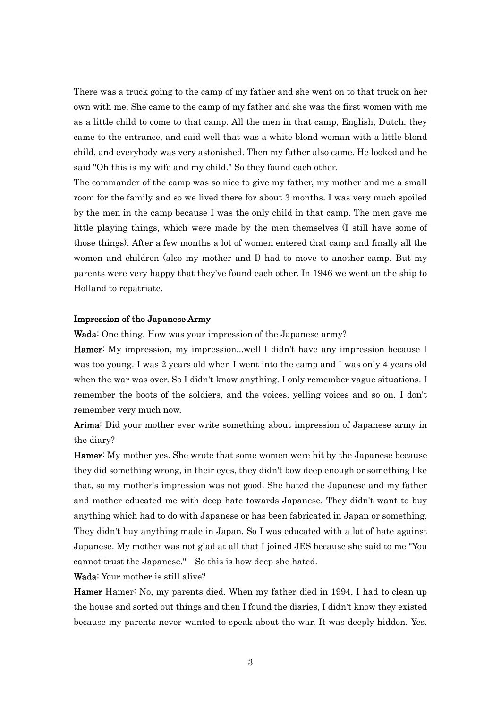There was a truck going to the camp of my father and she went on to that truck on her own with me. She came to the camp of my father and she was the first women with me as a little child to come to that camp. All the men in that camp, English, Dutch, they came to the entrance, and said well that was a white blond woman with a little blond child, and everybody was very astonished. Then my father also came. He looked and he said "Oh this is my wife and my child." So they found each other.

The commander of the camp was so nice to give my father, my mother and me a small room for the family and so we lived there for about 3 months. I was very much spoiled by the men in the camp because I was the only child in that camp. The men gave me little playing things, which were made by the men themselves (I still have some of those things). After a few months a lot of women entered that camp and finally all the women and children (also my mother and I) had to move to another camp. But my parents were very happy that they've found each other. In 1946 we went on the ship to Holland to repatriate.

## Impression of the Japanese Army

Wada: One thing. How was your impression of the Japanese army?

Hamer: My impression, my impression...well I didn't have any impression because I was too young. I was 2 years old when I went into the camp and I was only 4 years old when the war was over. So I didn't know anything. I only remember vague situations. I remember the boots of the soldiers, and the voices, yelling voices and so on. I don't remember very much now.

Arima: Did your mother ever write something about impression of Japanese army in the diary?

Hamer: My mother yes. She wrote that some women were hit by the Japanese because they did something wrong, in their eyes, they didn't bow deep enough or something like that, so my mother's impression was not good. She hated the Japanese and my father and mother educated me with deep hate towards Japanese. They didn't want to buy anything which had to do with Japanese or has been fabricated in Japan or something. They didn't buy anything made in Japan. So I was educated with a lot of hate against Japanese. My mother was not glad at all that I joined JES because she said to me "You cannot trust the Japanese." So this is how deep she hated.

Wada: Your mother is still alive?

Hamer Hamer: No, my parents died. When my father died in 1994, I had to clean up the house and sorted out things and then I found the diaries, I didn't know they existed because my parents never wanted to speak about the war. It was deeply hidden. Yes.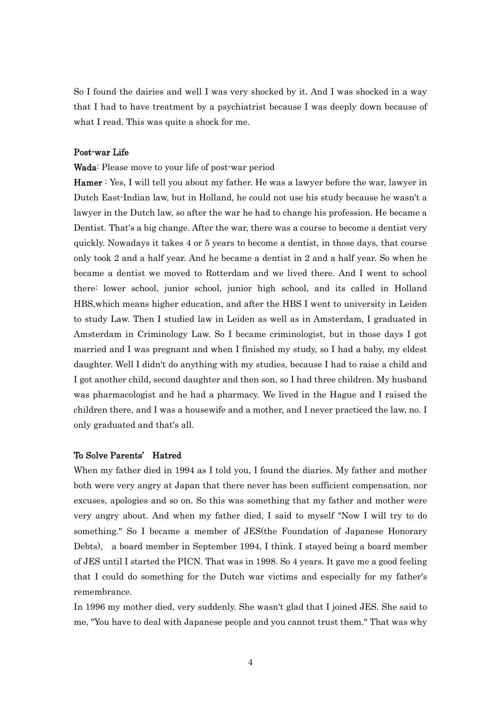So I found the dairies and well I was very shocked by it. And I was shocked in a way that I had to have treatment by a psychiatrist because I was deeply down because of what I read. This was quite a shock for me.

# Post-war Life

#### Wada: Please move to your life of post-war period

Hamer : Yes, I will tell you about my father. He was a lawyer before the war, lawyer in Dutch East-Indian law, but in Holland, he could not use his study because he wasn't a lawyer in the Dutch law, so after the war he had to change his profession. He became a Dentist. That's a big change. After the war, there was a course to become a dentist very quickly. Nowadays it takes 4 or 5 years to become a dentist, in those days, that course only took 2 and a half year. And he became a dentist in 2 and a half year. So when he became a dentist we moved to Rotterdam and we lived there. And I went to school there: lower school, junior school, junior high school, and its called in Holland HBS,which means higher education, and after the HBS I went to university in Leiden to study Law. Then I studied law in Leiden as well as in Amsterdam, I graduated in Amsterdam in Criminology Law. So I became criminologist, but in those days I got married and I was pregnant and when I finished my study, so I had a baby, my eldest daughter. Well I didn't do anything with my studies, because I had to raise a child and I got another child, second daughter and then son, so I had three children. My husband was pharmacologist and he had a pharmacy. We lived in the Hague and I raised the children there, and I was a housewife and a mother, and I never practiced the law, no. I only graduated and that's all.

#### To Solve Parents' Hatred

When my father died in 1994 as I told you, I found the diaries. My father and mother both were very angry at Japan that there never has been sufficient compensation, nor excuses, apologies and so on. So this was something that my father and mother were very angry about. And when my father died, I said to myself "Now I will try to do something." So I became a member of JES(the Foundation of Japanese Honorary Debts), a board member in September 1994, I think. I stayed being a board member of JES until I started the PICN. That was in 1998. So 4 years. It gave me a good feeling that I could do something for the Dutch war victims and especially for my father's remembrance.

In 1996 my mother died, very suddenly. She wasn't glad that I joined JES. She said to me, "You have to deal with Japanese people and you cannot trust them." That was why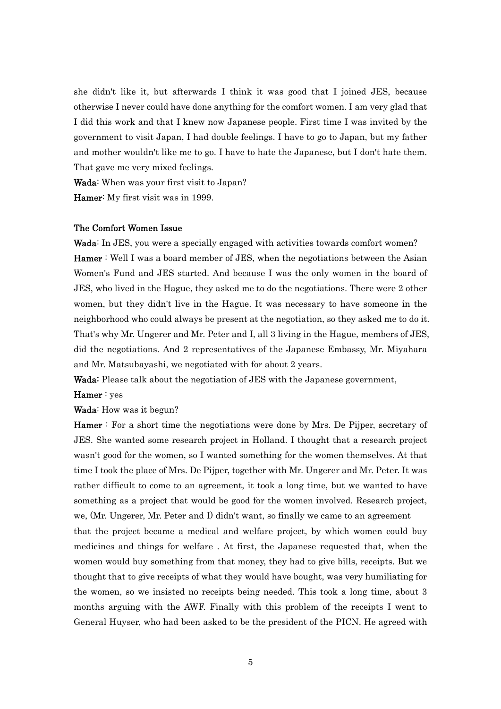she didn't like it, but afterwards I think it was good that I joined JES, because otherwise I never could have done anything for the comfort women. I am very glad that I did this work and that I knew now Japanese people. First time I was invited by the government to visit Japan, I had double feelings. I have to go to Japan, but my father and mother wouldn't like me to go. I have to hate the Japanese, but I don't hate them. That gave me very mixed feelings.

Wada: When was your first visit to Japan?

Hamer: My first visit was in 1999.

#### The Comfort Women Issue

Wada: In JES, you were a specially engaged with activities towards comfort women? Hamer : Well I was a board member of JES, when the negotiations between the Asian Women's Fund and JES started. And because I was the only women in the board of JES, who lived in the Hague, they asked me to do the negotiations. There were 2 other women, but they didn't live in the Hague. It was necessary to have someone in the neighborhood who could always be present at the negotiation, so they asked me to do it. That's why Mr. Ungerer and Mr. Peter and I, all 3 living in the Hague, members of JES, did the negotiations. And 2 representatives of the Japanese Embassy, Mr. Miyahara and Mr. Matsubayashi, we negotiated with for about 2 years.

Wada: Please talk about the negotiation of JES with the Japanese government,

## Hamer : yes

Wada: How was it begun?

Hamer : For a short time the negotiations were done by Mrs. De Pijper, secretary of JES. She wanted some research project in Holland. I thought that a research project wasn't good for the women, so I wanted something for the women themselves. At that time I took the place of Mrs. De Pijper, together with Mr. Ungerer and Mr. Peter. It was rather difficult to come to an agreement, it took a long time, but we wanted to have something as a project that would be good for the women involved. Research project, we, (Mr. Ungerer, Mr. Peter and I) didn't want, so finally we came to an agreement that the project became a medical and welfare project, by which women could buy medicines and things for welfare . At first, the Japanese requested that, when the women would buy something from that money, they had to give bills, receipts. But we thought that to give receipts of what they would have bought, was very humiliating for the women, so we insisted no receipts being needed. This took a long time, about 3 months arguing with the AWF. Finally with this problem of the receipts I went to General Huyser, who had been asked to be the president of the PICN. He agreed with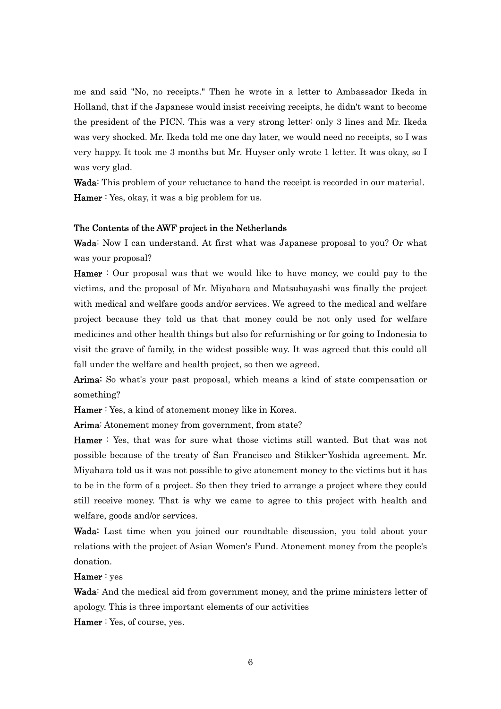me and said "No, no receipts." Then he wrote in a letter to Ambassador Ikeda in Holland, that if the Japanese would insist receiving receipts, he didn't want to become the president of the PICN. This was a very strong letter: only 3 lines and Mr. Ikeda was very shocked. Mr. Ikeda told me one day later, we would need no receipts, so I was very happy. It took me 3 months but Mr. Huyser only wrote 1 letter. It was okay, so I was very glad.

Wada: This problem of your reluctance to hand the receipt is recorded in our material. Hamer : Yes, okay, it was a big problem for us.

#### The Contents of the AWF project in the Netherlands

Wada: Now I can understand. At first what was Japanese proposal to you? Or what was your proposal?

Hamer : Our proposal was that we would like to have money, we could pay to the victims, and the proposal of Mr. Miyahara and Matsubayashi was finally the project with medical and welfare goods and/or services. We agreed to the medical and welfare project because they told us that that money could be not only used for welfare medicines and other health things but also for refurnishing or for going to Indonesia to visit the grave of family, in the widest possible way. It was agreed that this could all fall under the welfare and health project, so then we agreed.

Arima: So what's your past proposal, which means a kind of state compensation or something?

Hamer : Yes, a kind of atonement money like in Korea.

Arima: Atonement money from government, from state?

Hamer : Yes, that was for sure what those victims still wanted. But that was not possible because of the treaty of San Francisco and Stikker-Yoshida agreement. Mr. Miyahara told us it was not possible to give atonement money to the victims but it has to be in the form of a project. So then they tried to arrange a project where they could still receive money. That is why we came to agree to this project with health and welfare, goods and/or services.

Wada: Last time when you joined our roundtable discussion, you told about your relations with the project of Asian Women's Fund. Atonement money from the people's donation.

Hamer : yes

Wada: And the medical aid from government money, and the prime ministers letter of apology. This is three important elements of our activities

Hamer : Yes, of course, yes.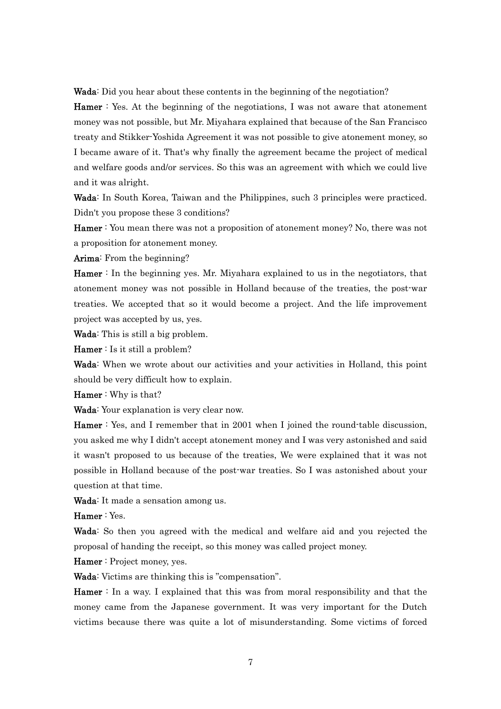Wada: Did you hear about these contents in the beginning of the negotiation?

Hamer : Yes. At the beginning of the negotiations, I was not aware that atonement money was not possible, but Mr. Miyahara explained that because of the San Francisco treaty and Stikker-Yoshida Agreement it was not possible to give atonement money, so I became aware of it. That's why finally the agreement became the project of medical and welfare goods and/or services. So this was an agreement with which we could live and it was alright.

Wada: In South Korea, Taiwan and the Philippines, such 3 principles were practiced. Didn't you propose these 3 conditions?

Hamer : You mean there was not a proposition of atonement money? No, there was not a proposition for atonement money.

Arima: From the beginning?

Hamer : In the beginning yes. Mr. Miyahara explained to us in the negotiators, that atonement money was not possible in Holland because of the treaties, the post-war treaties. We accepted that so it would become a project. And the life improvement project was accepted by us, yes.

Wada: This is still a big problem.

Hamer : Is it still a problem?

Wada: When we wrote about our activities and your activities in Holland, this point should be very difficult how to explain.

Hamer : Why is that?

Wada: Your explanation is very clear now.

Hamer : Yes, and I remember that in 2001 when I joined the round-table discussion, you asked me why I didn't accept atonement money and I was very astonished and said it wasn't proposed to us because of the treaties, We were explained that it was not possible in Holland because of the post-war treaties. So I was astonished about your question at that time.

Wada: It made a sensation among us.

Hamer : Yes.

Wada: So then you agreed with the medical and welfare aid and you rejected the proposal of handing the receipt, so this money was called project money.

Hamer : Project money, yes.

Wada: Victims are thinking this is "compensation".

Hamer : In a way. I explained that this was from moral responsibility and that the money came from the Japanese government. It was very important for the Dutch victims because there was quite a lot of misunderstanding. Some victims of forced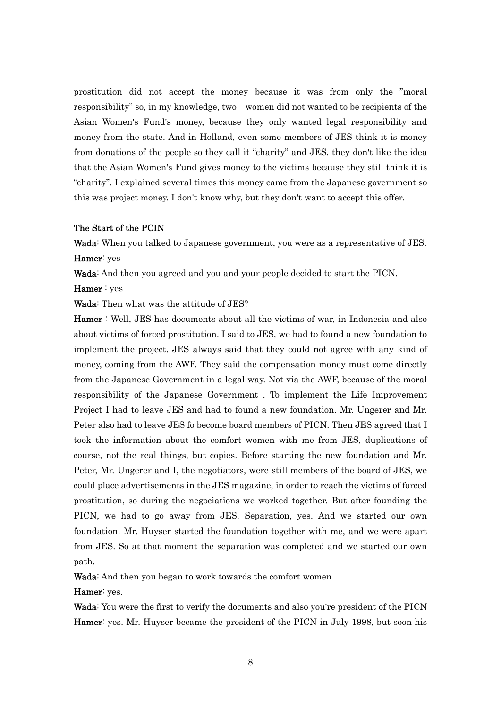prostitution did not accept the money because it was from only the "moral responsibility" so, in my knowledge, two women did not wanted to be recipients of the Asian Women's Fund's money, because they only wanted legal responsibility and money from the state. And in Holland, even some members of JES think it is money from donations of the people so they call it "charity" and JES, they don't like the idea that the Asian Women's Fund gives money to the victims because they still think it is "charity". I explained several times this money came from the Japanese government so this was project money. I don't know why, but they don't want to accept this offer.

## The Start of the PCIN

Wada: When you talked to Japanese government, you were as a representative of JES. Hamer: yes

Wada: And then you agreed and you and your people decided to start the PICN.

Hamer : yes

Wada: Then what was the attitude of JES?

Hamer : Well, JES has documents about all the victims of war, in Indonesia and also about victims of forced prostitution. I said to JES, we had to found a new foundation to implement the project. JES always said that they could not agree with any kind of money, coming from the AWF. They said the compensation money must come directly from the Japanese Government in a legal way. Not via the AWF, because of the moral responsibility of the Japanese Government . To implement the Life Improvement Project I had to leave JES and had to found a new foundation. Mr. Ungerer and Mr. Peter also had to leave JES fo become board members of PICN. Then JES agreed that I took the information about the comfort women with me from JES, duplications of course, not the real things, but copies. Before starting the new foundation and Mr. Peter, Mr. Ungerer and I, the negotiators, were still members of the board of JES, we could place advertisements in the JES magazine, in order to reach the victims of forced prostitution, so during the negociations we worked together. But after founding the PICN, we had to go away from JES. Separation, yes. And we started our own foundation. Mr. Huyser started the foundation together with me, and we were apart from JES. So at that moment the separation was completed and we started our own path.

Wada: And then you began to work towards the comfort women

#### Hamer: yes.

Wada: You were the first to verify the documents and also you're president of the PICN Hamer: yes. Mr. Huyser became the president of the PICN in July 1998, but soon his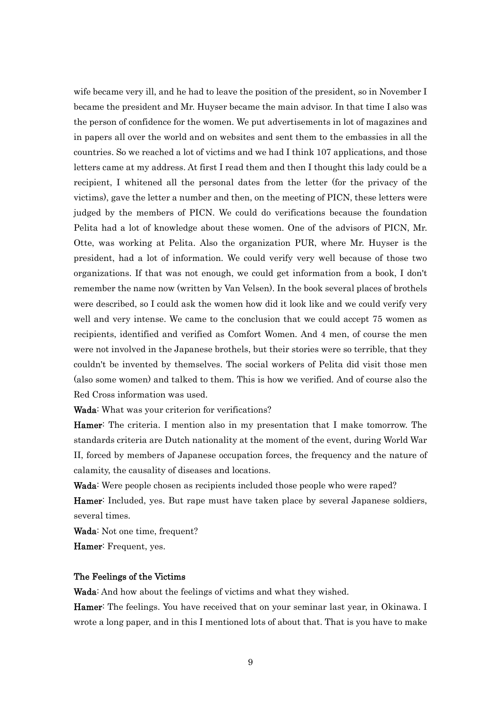wife became very ill, and he had to leave the position of the president, so in November I became the president and Mr. Huyser became the main advisor. In that time I also was the person of confidence for the women. We put advertisements in lot of magazines and in papers all over the world and on websites and sent them to the embassies in all the countries. So we reached a lot of victims and we had I think 107 applications, and those letters came at my address. At first I read them and then I thought this lady could be a recipient, I whitened all the personal dates from the letter (for the privacy of the victims), gave the letter a number and then, on the meeting of PICN, these letters were judged by the members of PICN. We could do verifications because the foundation Pelita had a lot of knowledge about these women. One of the advisors of PICN, Mr. Otte, was working at Pelita. Also the organization PUR, where Mr. Huyser is the president, had a lot of information. We could verify very well because of those two organizations. If that was not enough, we could get information from a book, I don't remember the name now (written by Van Velsen). In the book several places of brothels were described, so I could ask the women how did it look like and we could verify very well and very intense. We came to the conclusion that we could accept 75 women as recipients, identified and verified as Comfort Women. And 4 men, of course the men were not involved in the Japanese brothels, but their stories were so terrible, that they couldn't be invented by themselves. The social workers of Pelita did visit those men (also some women) and talked to them. This is how we verified. And of course also the Red Cross information was used.

Wada: What was your criterion for verifications?

Hamer: The criteria. I mention also in my presentation that I make tomorrow. The standards criteria are Dutch nationality at the moment of the event, during World War II, forced by members of Japanese occupation forces, the frequency and the nature of calamity, the causality of diseases and locations.

Wada: Were people chosen as recipients included those people who were raped? Hamer: Included, yes. But rape must have taken place by several Japanese soldiers, several times.

Wada: Not one time, frequent?

Hamer: Frequent, yes.

## The Feelings of the Victims

Wada: And how about the feelings of victims and what they wished.

Hamer: The feelings. You have received that on your seminar last year, in Okinawa. I wrote a long paper, and in this I mentioned lots of about that. That is you have to make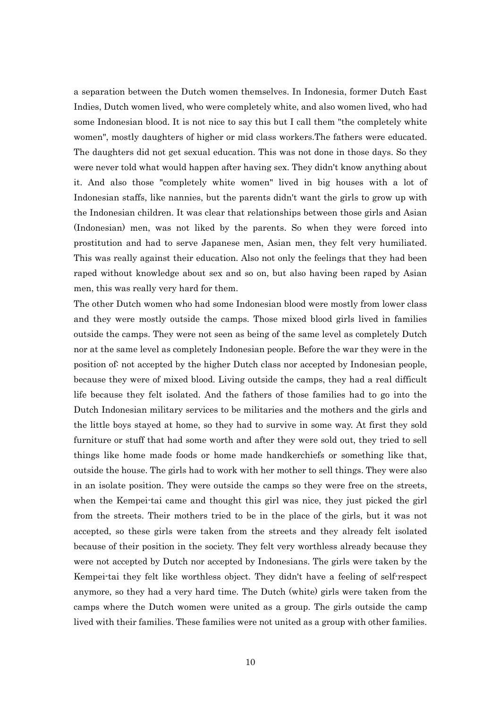a separation between the Dutch women themselves. In Indonesia, former Dutch East Indies, Dutch women lived, who were completely white, and also women lived, who had some Indonesian blood. It is not nice to say this but I call them "the completely white women", mostly daughters of higher or mid class workers.The fathers were educated. The daughters did not get sexual education. This was not done in those days. So they were never told what would happen after having sex. They didn't know anything about it. And also those "completely white women" lived in big houses with a lot of Indonesian staffs, like nannies, but the parents didn't want the girls to grow up with the Indonesian children. It was clear that relationships between those girls and Asian (Indonesian) men, was not liked by the parents. So when they were forced into prostitution and had to serve Japanese men, Asian men, they felt very humiliated. This was really against their education. Also not only the feelings that they had been raped without knowledge about sex and so on, but also having been raped by Asian men, this was really very hard for them.

The other Dutch women who had some Indonesian blood were mostly from lower class and they were mostly outside the camps. Those mixed blood girls lived in families outside the camps. They were not seen as being of the same level as completely Dutch nor at the same level as completely Indonesian people. Before the war they were in the position of: not accepted by the higher Dutch class nor accepted by Indonesian people, because they were of mixed blood. Living outside the camps, they had a real difficult life because they felt isolated. And the fathers of those families had to go into the Dutch Indonesian military services to be militaries and the mothers and the girls and the little boys stayed at home, so they had to survive in some way. At first they sold furniture or stuff that had some worth and after they were sold out, they tried to sell things like home made foods or home made handkerchiefs or something like that, outside the house. The girls had to work with her mother to sell things. They were also in an isolate position. They were outside the camps so they were free on the streets, when the Kempei-tai came and thought this girl was nice, they just picked the girl from the streets. Their mothers tried to be in the place of the girls, but it was not accepted, so these girls were taken from the streets and they already felt isolated because of their position in the society. They felt very worthless already because they were not accepted by Dutch nor accepted by Indonesians. The girls were taken by the Kempei-tai they felt like worthless object. They didn't have a feeling of self-respect anymore, so they had a very hard time. The Dutch (white) girls were taken from the camps where the Dutch women were united as a group. The girls outside the camp lived with their families. These families were not united as a group with other families.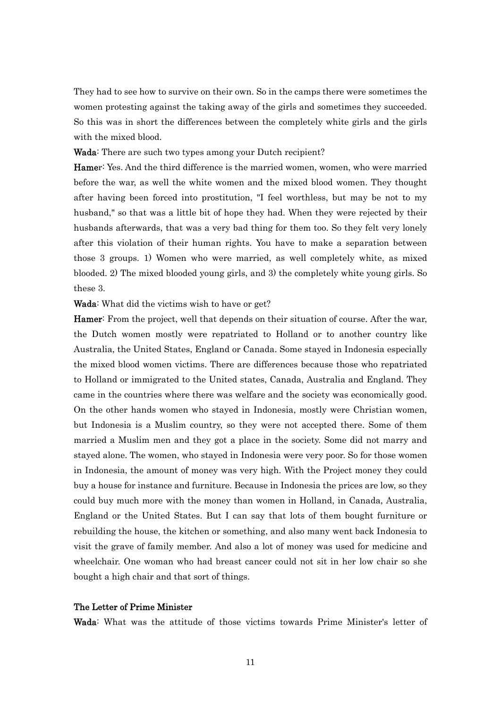They had to see how to survive on their own. So in the camps there were sometimes the women protesting against the taking away of the girls and sometimes they succeeded. So this was in short the differences between the completely white girls and the girls with the mixed blood.

#### Wada: There are such two types among your Dutch recipient?

Hamer: Yes. And the third difference is the married women, women, who were married before the war, as well the white women and the mixed blood women. They thought after having been forced into prostitution, "I feel worthless, but may be not to my husband," so that was a little bit of hope they had. When they were rejected by their husbands afterwards, that was a very bad thing for them too. So they felt very lonely after this violation of their human rights. You have to make a separation between those 3 groups. 1) Women who were married, as well completely white, as mixed blooded. 2) The mixed blooded young girls, and 3) the completely white young girls. So these 3.

Wada: What did the victims wish to have or get?

Hamer: From the project, well that depends on their situation of course. After the war, the Dutch women mostly were repatriated to Holland or to another country like Australia, the United States, England or Canada. Some stayed in Indonesia especially the mixed blood women victims. There are differences because those who repatriated to Holland or immigrated to the United states, Canada, Australia and England. They came in the countries where there was welfare and the society was economically good. On the other hands women who stayed in Indonesia, mostly were Christian women, but Indonesia is a Muslim country, so they were not accepted there. Some of them married a Muslim men and they got a place in the society. Some did not marry and stayed alone. The women, who stayed in Indonesia were very poor. So for those women in Indonesia, the amount of money was very high. With the Project money they could buy a house for instance and furniture. Because in Indonesia the prices are low, so they could buy much more with the money than women in Holland, in Canada, Australia, England or the United States. But I can say that lots of them bought furniture or rebuilding the house, the kitchen or something, and also many went back Indonesia to visit the grave of family member. And also a lot of money was used for medicine and wheelchair. One woman who had breast cancer could not sit in her low chair so she bought a high chair and that sort of things.

## The Letter of Prime Minister

Wada: What was the attitude of those victims towards Prime Minister's letter of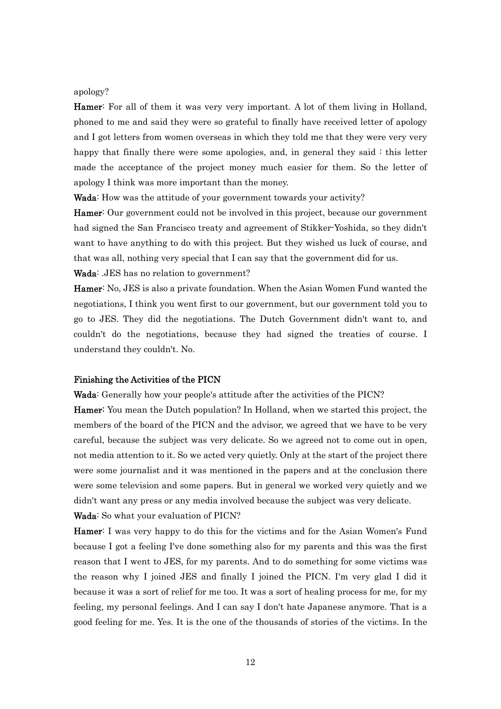#### apology?

Hamer: For all of them it was very very important. A lot of them living in Holland, phoned to me and said they were so grateful to finally have received letter of apology and I got letters from women overseas in which they told me that they were very very happy that finally there were some apologies, and, in general they said : this letter made the acceptance of the project money much easier for them. So the letter of apology I think was more important than the money.

Wada: How was the attitude of your government towards your activity?

Hamer: Our government could not be involved in this project, because our government had signed the San Francisco treaty and agreement of Stikker-Yoshida, so they didn't want to have anything to do with this project. But they wished us luck of course, and that was all, nothing very special that I can say that the government did for us.

Wada: .JES has no relation to government?

Hamer: No, JES is also a private foundation. When the Asian Women Fund wanted the negotiations, I think you went first to our government, but our government told you to go to JES. They did the negotiations. The Dutch Government didn't want to, and couldn't do the negotiations, because they had signed the treaties of course. I understand they couldn't. No.

#### Finishing the Activities of the PICN

Wada: Generally how your people's attitude after the activities of the PICN?

Hamer: You mean the Dutch population? In Holland, when we started this project, the members of the board of the PICN and the advisor, we agreed that we have to be very careful, because the subject was very delicate. So we agreed not to come out in open, not media attention to it. So we acted very quietly. Only at the start of the project there were some journalist and it was mentioned in the papers and at the conclusion there were some television and some papers. But in general we worked very quietly and we didn't want any press or any media involved because the subject was very delicate. Wada: So what your evaluation of PICN?

Hamer: I was very happy to do this for the victims and for the Asian Women's Fund because I got a feeling I've done something also for my parents and this was the first reason that I went to JES, for my parents. And to do something for some victims was the reason why I joined JES and finally I joined the PICN. I'm very glad I did it because it was a sort of relief for me too. It was a sort of healing process for me, for my feeling, my personal feelings. And I can say I don't hate Japanese anymore. That is a good feeling for me. Yes. It is the one of the thousands of stories of the victims. In the